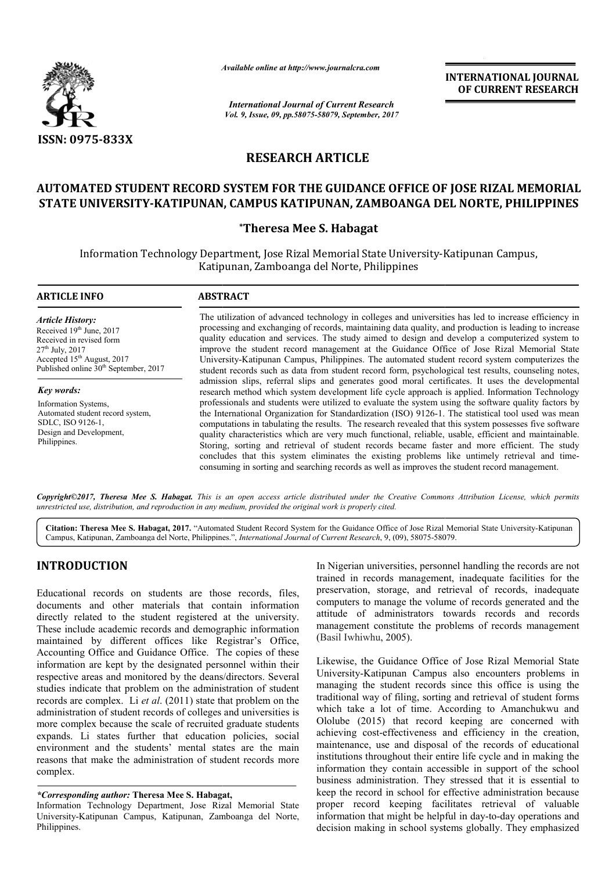

*Available online at http://www.journal http://www.journalcra.com*

*International Journal of Current Research Vol. 9, Issue, 09, pp.58075-58079, September, 2017* **INTERNATIONAL JOURNAL OF CURRENT RESEARCH** 

# **RESEARCH ARTICLE**

# **AUTOMATED STUDENT RECORD SYSTEM FOR THE GUIDANCE OFFICE OF JOSE RIZAL MEMORIAL AUTOMATED THE GUIDANCE JOSE RIZAL MEMORIAL STATE UNIVERSITY-KATIPUNAN KATIPUNAN, CAMPUS KATIPUNAN, ZAMBOANGA DEL NORTE, PHILIPPINES**

## **\*Theresa Mee S. Habagat**

Information Technology Department, Jose Rizal Memorial State University University-Katipunan Campus, Katipunan Katipunan, Zamboanga del Norte, Philippines

#### **ARTICLE INFO ABSTRACT**

*Article History:* Received 19th June, 2017 Received in revised form 27th July, 2017 Accepted 15<sup>th</sup> August, 2017 Published online  $30<sup>th</sup>$  September, 2017

*Key words:* Information Systems, Automated student record system, SDLC, ISO 9126-1, Design and Development, Philippines.

The utilization of advanced technology in colleges and universities has led to increase efficiency in processing and exchanging of records, maintaining data quality, and production is leading to increase The utilization of advanced technology in colleges and universities has led to increase efficiency in<br>processing and exchanging of records, maintaining data quality, and production is leading to increase<br>quality education improve the student record management at the Guidance Office of Jose Rizal Memorial State University University-Katipunan Campus, Philippines. The automated student record system computerizes the improve the student record management at the Guidance Office of Jose Rizal Memorial State<br>University-Katipunan Campus, Philippines. The automated student record system computerizes the<br>student records such as data from stu admission slips, referral slips and generates good moral certificates. It uses the developmental admission slips, referral slips and generates good moral certificates. It uses the developmental research method which system development life cycle approach is applied. Information Technology professionals and students were utilized to evaluate the system using the software quality factors by professionals and students were utilized to evaluate the system using the software quality factors by the International Organization for Standardization (ISO) 9126-1. The statistical tool used was mean computations in tabulating the results. The research revealed that this system possesses five software quality characteristics which are very much functional, reliable, usable, efficient and maintainable. Storing, sorting and retrieval of student records became faster and more efficient. The study concludes that this syst system eliminates the existing problems like untimely retrieval and time consuming in sorting and searching records as well as improves the student record management. hich are very much functional, reliable, usable, efficient and maintainable.<br>
rieval of student records became faster and more efficient. The study<br>
em eliminates the existing problems like untimely retrieval and time-

*Copyright©2017, Theresa Mee S. Habagat. This is an open access article distributed under the Creative Commons Att Attribution License, which permits unrestricted use, distribution, and reproduction in any medium, provided the original work is properly cited.*

Citation: Theresa Mee S. Habagat, 2017. "Automated Student Record System for the Guidance Office of Jose Rizal Memorial State University-Katipunan Campus, Katipunan, Zamboanga del Norte, Philippines.", *International Journal of Current Research*, 9, (09), 58075-58079.

# **INTRODUCTION**

Educational records on students are those records, files, documents and other materials that contain information directly related to the student registered at the university. These include academic records and demographic information maintained by different offices like Registrar's Office, Accounting Office and Guidance Office. The copies of these information are kept by the designated personnel within their respective areas and monitored by the deans/directors. Several studies indicate that problem on the administration of student records are complex. Li *et al*. (2011) state that problem on the administration of student records of colleges and universities is more complex because the scale of recruited graduate students expands. Li states further that education policies, social environment and the students' mental states are the main reasons that make the administration of student records more complex.

### *\*Corresponding author:* **Theresa Mee S. Habagat Habagat,**

Information Technology Department, Jose Rizal Memorial State University-Katipunan Campus, Katipunan, Zamboanga del Norte, Philippines.

trained in records management, inadequate facilities for the preservation, storage, and retrieval of records, inade computers to manage the volume of records generated and the attitude of administrators towards records and records management constitute the problems of records management (Basil Iwhiwhu, 2005). Nigerian universities, personnel handling the records are not<br>ined in records management, inadequate facilities for the<br>servation, storage, and retrieval of records, inadequate manage the volume of records generated and the<br>dministrators towards records and records<br>constitute the problems of records management<br>a, 2005).<br>Guidance Office of Jose Rizal Memorial State

**IDUCTION**<br>
In Nigerian universities, personnel handling the records are not<br>
reactions the preservation, storage, and retrieval of records, inadequate<br>
are and other materials that contain information computers to mange t Likewise, the Guidance Office of Jose Rizal Memorial University-Katipunan Campus also encounters problems in managing the student records since this office is using the traditional way of filing, sorting and retrieval of student forms which take a lot of time. According to Amanchukwu and Ololube (2015) that record keeping are concerned with achieving cost-effectiveness and efficiency in the creation, maintenance, use and disposal of the records of educational institutions throughout their entire life cycle and in making the information they contain accessible in support of the school business administration. They stressed that it is essential to keep the record in school for effective administration because proper record keeping facilitates retrieval of valuable information that might be helpful in day-to-day operations and decision making in school systems globally. They emphasized University-Katipunan Campus also encounters problems in managing the student records since this office is using the traditional way of filing, sorting and retrieval of student forms which take a lot of time. According to A administration. They stressed that it is essential to record in school for effective administration because ecord keeping facilitates retrieval of valuable on that might be helpful in day-to-day operations and INTERNATIONAL JOURNAL<br>
INTERNATIONAL IOUENNAL<br>
INTERNATIONAL IOUENEENT RESEARCH<br>
IDENTIFICATION<br>
IDENTIFICATION CONTINUES<br>
LE<br>
ANCE OFFICE OF JOSE RIZAL MEMORIAL<br>
ZAMBOANGA DEL NORTE, PHILIPPINES<br>
agget<br>
agget<br>
and State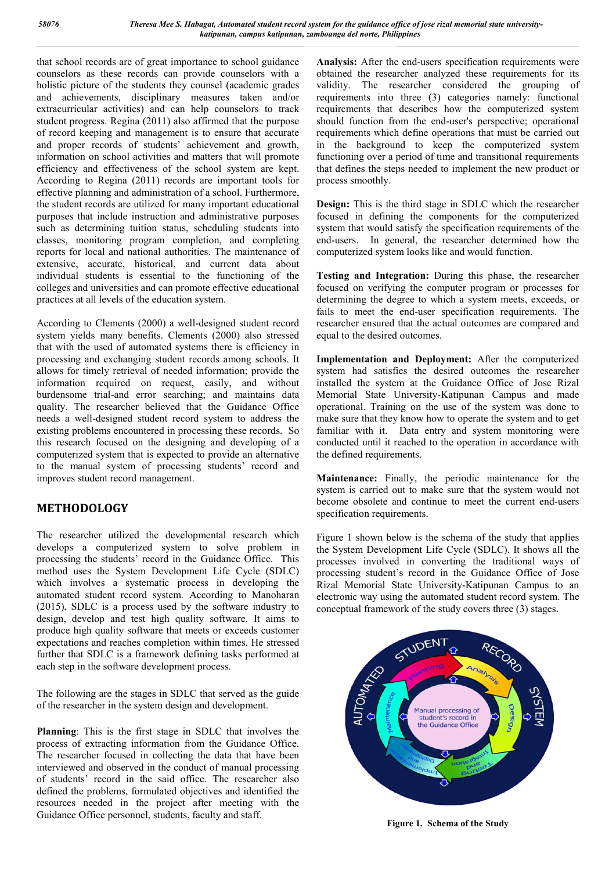that school records are of great importance to school guidance counselors as these records can provide counselors with a holistic picture of the students they counsel (academic grades and achievements, disciplinary measures taken and/or extracurricular activities) and can help counselors to track student progress. Regina (2011) also affirmed that the purpose of record keeping and management is to ensure that accurate and proper records of students' achievement and growth, information on school activities and matters that will promote efficiency and effectiveness of the school system are kept. According to Regina (2011) records are important tools for effective planning and administration of a school. Furthermore, the student records are utilized for many important educational purposes that include instruction and administrative purposes such as determining tuition status, scheduling students into classes, monitoring program completion, and completing reports for local and national authorities. The maintenance of extensive, accurate, historical, and current data about individual students is essential to the functioning of the colleges and universities and can promote effective educational practices at all levels of the education system.

According to Clements (2000) a well-designed student record system yields many benefits. Clements (2000) also stressed that with the used of automated systems there is efficiency in processing and exchanging student records among schools. It allows for timely retrieval of needed information; provide the information required on request, easily, and without burdensome trial-and error searching; and maintains data quality. The researcher believed that the Guidance Office needs a well-designed student record system to address the existing problems encountered in processing these records. So this research focused on the designing and developing of a computerized system that is expected to provide an alternative to the manual system of processing students' record and improves student record management.

# **METHODOLOGY**

The researcher utilized the developmental research which develops a computerized system to solve problem in processing the students' record in the Guidance Office. This method uses the System Development Life Cycle (SDLC) which involves a systematic process in developing the automated student record system. According to Manoharan (2015), SDLC is a process used by the software industry to design, develop and test high quality software. It aims to produce high quality software that meets or exceeds customer expectations and reaches completion within times. He stressed further that SDLC is a framework defining tasks performed at each step in the software development process.

The following are the stages in SDLC that served as the guide of the researcher in the system design and development.

**Planning**: This is the first stage in SDLC that involves the process of extracting information from the Guidance Office. The researcher focused in collecting the data that have been interviewed and observed in the conduct of manual processing of students' record in the said office. The researcher also defined the problems, formulated objectives and identified the resources needed in the project after meeting with the Guidance Office personnel, students, faculty and staff.

**Analysis:** After the end-users specification requirements were obtained the researcher analyzed these requirements for its validity. The researcher considered the grouping of requirements into three (3) categories namely: functional requirements that describes how the computerized system should function from the end-user's perspective; operational requirements which define operations that must be carried out in the background to keep the computerized system functioning over a period of time and transitional requirements that defines the steps needed to implement the new product or process smoothly.

**Design:** This is the third stage in SDLC which the researcher focused in defining the components for the computerized system that would satisfy the specification requirements of the end-users. In general, the researcher determined how the computerized system looks like and would function.

**Testing and Integration:** During this phase, the researcher focused on verifying the computer program or processes for determining the degree to which a system meets, exceeds, or fails to meet the end-user specification requirements. The researcher ensured that the actual outcomes are compared and equal to the desired outcomes.

**Implementation and Deployment:** After the computerized system had satisfies the desired outcomes the researcher installed the system at the Guidance Office of Jose Rizal Memorial State University-Katipunan Campus and made operational. Training on the use of the system was done to make sure that they know how to operate the system and to get familiar with it. Data entry and system monitoring were conducted until it reached to the operation in accordance with the defined requirements.

**Maintenance:** Finally, the periodic maintenance for the system is carried out to make sure that the system would not become obsolete and continue to meet the current end-users specification requirements.

Figure 1 shown below is the schema of the study that applies the System Development Life Cycle (SDLC). It shows all the processes involved in converting the traditional ways of processing student's record in the Guidance Office of Jose Rizal Memorial State University-Katipunan Campus to an electronic way using the automated student record system. The conceptual framework of the study covers three (3) stages.



**Figure 1. Schema of the Study**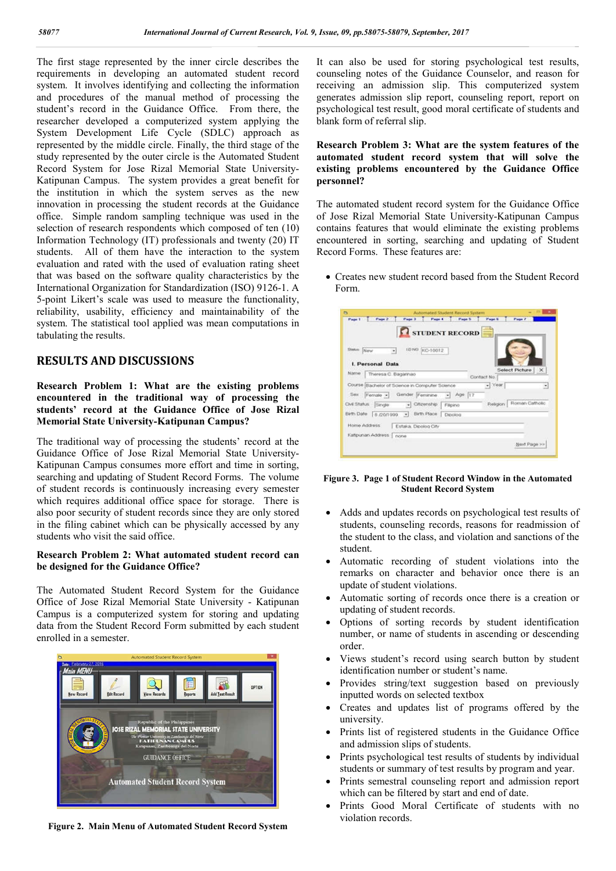The first stage represented by the inner circle describes the requirements in developing an automated student record system. It involves identifying and collecting the information and procedures of the manual method of processing the student's record in the Guidance Office. From there, the researcher developed a computerized system applying the System Development Life Cycle (SDLC) approach as represented by the middle circle. Finally, the third stage of the study represented by the outer circle is the Automated Student Record System for Jose Rizal Memorial State University-Katipunan Campus. The system provides a great benefit for the institution in which the system serves as the new innovation in processing the student records at the Guidance office. Simple random sampling technique was used in the selection of research respondents which composed of ten (10) Information Technology (IT) professionals and twenty (20) IT students. All of them have the interaction to the system evaluation and rated with the used of evaluation rating sheet that was based on the software quality characteristics by the International Organization for Standardization (ISO) 9126-1. A 5-point Likert's scale was used to measure the functionality, reliability, usability, efficiency and maintainability of the system. The statistical tool applied was mean computations in tabulating the results.

## **RESULTS AND DISCUSSIONS**

**Research Problem 1: What are the existing problems encountered in the traditional way of processing the students' record at the Guidance Office of Jose Rizal Memorial State University-Katipunan Campus?**

The traditional way of processing the students' record at the Guidance Office of Jose Rizal Memorial State University-Katipunan Campus consumes more effort and time in sorting, searching and updating of Student Record Forms. The volume of student records is continuously increasing every semester which requires additional office space for storage. There is also poor security of student records since they are only stored in the filing cabinet which can be physically accessed by any students who visit the said office.

#### **Research Problem 2: What automated student record can be designed for the Guidance Office?**

The Automated Student Record System for the Guidance Office of Jose Rizal Memorial State University - Katipunan Campus is a computerized system for storing and updating data from the Student Record Form submitted by each student enrolled in a semester.



**Figure 2. Main Menu of Automated Student Record System**

It can also be used for storing psychological test results, counseling notes of the Guidance Counselor, and reason for receiving an admission slip. This computerized system generates admission slip report, counseling report, report on psychological test result, good moral certificate of students and blank form of referral slip.

## **Research Problem 3: What are the system features of the automated student record system that will solve the existing problems encountered by the Guidance Office personnel?**

The automated student record system for the Guidance Office of Jose Rizal Memorial State University-Katipunan Campus contains features that would eliminate the existing problems encountered in sorting, searching and updating of Student Record Forms. These features are:

 Creates new student record based from the Student Record Form.

| a<br>Page 2<br>Page 1                                                      | Automated Student Record System<br>Page 3<br>Page 4 . Page 5<br><b>R</b> STUDENT RECORD | <b>Page 8</b><br>Page 7       |                       |
|----------------------------------------------------------------------------|-----------------------------------------------------------------------------------------|-------------------------------|-----------------------|
| Statut: Now<br>۰<br><b>I. Personal Data</b><br>Name<br>Theresa C. Bagarnao | LD NO KC-10012                                                                          | Select Picture<br>Contact No. | ×                     |
|                                                                            | Course Bachelor of Science in Computer Science                                          | $-$ Year                      | ۰                     |
| Sex Fernale -<br>Civil Status Single                                       | $-$ Age $17$<br>Gender Feminine<br>Citizenship<br>۰<br>Filipino                         | Religion                      | <b>Roman Catholic</b> |
| Birth Date 8 /20/1999                                                      | · Birth Place<br>Dipolog                                                                |                               |                       |
| Home Address                                                               | Estaka, Dipolog City                                                                    |                               |                       |
| Katipunan Address                                                          | <b>DOD</b>                                                                              |                               |                       |
|                                                                            |                                                                                         |                               | Next Page >>          |

**Figure 3. Page 1 of Student Record Window in the Automated Student Record System**

- Adds and updates records on psychological test results of students, counseling records, reasons for readmission of the student to the class, and violation and sanctions of the student.
- Automatic recording of student violations into the remarks on character and behavior once there is an update of student violations.
- Automatic sorting of records once there is a creation or updating of student records.
- Options of sorting records by student identification number, or name of students in ascending or descending order.
- Views student's record using search button by student identification number or student's name.
- Provides string/text suggestion based on previously inputted words on selected textbox
- Creates and updates list of programs offered by the university.
- Prints list of registered students in the Guidance Office and admission slips of students.
- Prints psychological test results of students by individual students or summary of test results by program and year.
- Prints semestral counseling report and admission report which can be filtered by start and end of date.
- Prints Good Moral Certificate of students with no violation records.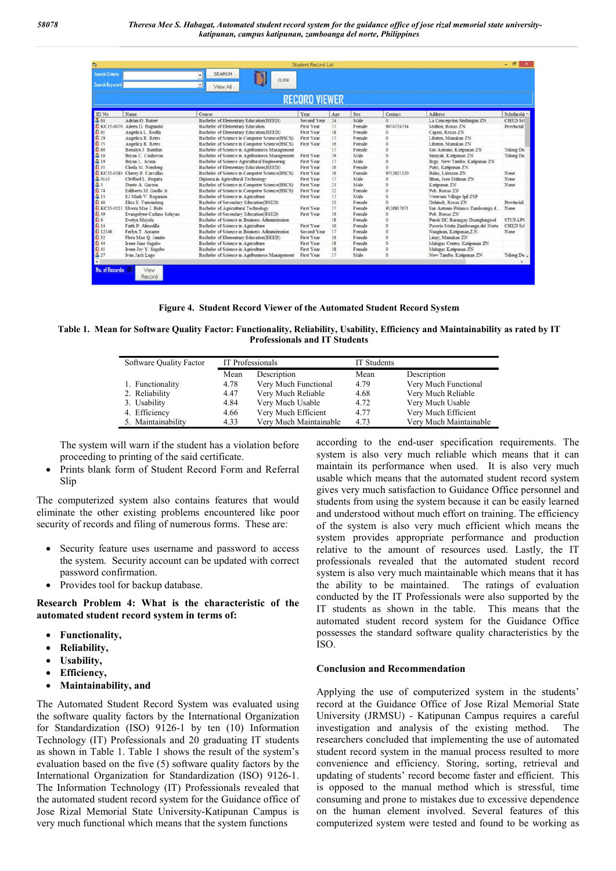| a                                               |                                |                                                |             | <b>Student Record List</b> |        |            |                                   | $ \theta$            |  |  |
|-------------------------------------------------|--------------------------------|------------------------------------------------|-------------|----------------------------|--------|------------|-----------------------------------|----------------------|--|--|
| <b>Search Criteria</b><br><b>Search Keyword</b> |                                | <b>SEARCH</b><br>CLOSE<br>×<br>View All        |             |                            |        |            |                                   |                      |  |  |
| <b>RECORD VIEWER</b>                            |                                |                                                |             |                            |        |            |                                   |                      |  |  |
| ID No                                           | Name                           | Course                                         | Year        | Age                        | Sex    | Contact    | Address                           | Scholarshi ^         |  |  |
| 363                                             | Adrian O. Boiser               | Bachelor of Elementary Education(BEED)         | Second Year | 24                         | Male   | $\Omega$   | La Concepcion Sindangan ZN        | <b>CHED Scl</b>      |  |  |
|                                                 | G KC15-0070 Aileen D. Bammdol  | Bachelor of Elementary Education               | First Year  | 17                         | Female | 9074724734 | Moliton, Roxas ZN                 | Provincial           |  |  |
| 日61                                             | Angelica L. Redila             | Bachelor of Elementary Education(BEED)         | First Year  | IS:                        | Female |            | Capasi, Roxas ZN                  |                      |  |  |
| $\Omega$ 29                                     | Angelica R. Retes              | Bachelor of Science in Computer Science(BSCS)  | First Year  | 17                         | Female |            | Libuton, Manukan ZN               |                      |  |  |
| $\Omega$ 75                                     | Angelica R. Retes              | Bachelor of Science in Computer Science(BSCS)  | First Year  | 16                         | Female |            | Libuton, Manukan ZN               |                      |  |  |
| $\boldsymbol{\Omega}$ 60                        | Benalvn J. Bantilan            | Bachelor of Science in Agribusiness Management |             | 17                         | Female |            | San Antonio, Katipunan ZN         | Tulong Du            |  |  |
| <b>a</b> 16                                     | Bryan C. Caulawon              | Bachelor of Science in Agribusiness Management | First Year  | 19                         | Male   |            | Sinuvak, Katipunan ZN             | Tulong Du            |  |  |
| 昌19                                             | Brvan L. Arsua                 | Bachelor of Science Agricultural Engineering   | First Year  | 17                         | Male   |            | Brgy, New Tambo, Katipunan ZN     |                      |  |  |
| $\Omega$ 35                                     | Cheila M. Nondong              | Bachelor of Elementary Education(BEED)         | First Year  | 16                         | Female |            | Patic, Katipunan ZN               |                      |  |  |
| R KC15-0183                                     | Cherry P. Carcallas            | Bachelor of Science in Computer Science(BSCS)  | First Year  | 16                         | Female | 9752621120 | Balas, Labason ZN                 | None                 |  |  |
| 5 0143                                          | Clefford L. Poquita            | Diploma in Agricultural Technology             | First Year  | 17                         | Male   |            | Ilihan. Jose Dalman ZN            | None                 |  |  |
| $\frac{3}{1}$ s<br>14                           | Dante A. Garzon                | Bachelor of Science in Computer Science(BSCS)  | First Year  | 23                         | Male   |            | Katipunan ZN                      | None                 |  |  |
|                                                 | Edilberto M. Garillo Jr.       | Bachelor of Science in Computer Science(BSCS)  | First Year  | 22                         | Female |            | Pob. Roxas ZN                     |                      |  |  |
| 昌13                                             | EJ Mark V. Regarion            | Bachelor of Science in Agriculture             | First Year  | 17                         | Male   |            | Veterans Village Ipil ZSP         |                      |  |  |
| <b>Q</b> 46                                     | Elisa E. Tamondong             | Bachelor of Secondary Education(BSED)          |             | 33                         | Female |            | Dohinob, Roxas ZN                 | Provincial           |  |  |
|                                                 | E KC15-0111 Elveza Mae J. Rubi | Bachelor of Agricultural Technology            | First Year  | 17                         | Female | 9126817671 | San Antonio Polanco Zamboanga d   | None                 |  |  |
| Q 39                                            | Evangelyne Cadano Solavao      | Bachelor of Secondary Education(BSED)          | First Year  | 19                         | Female |            | Pob. Roxas ZN                     |                      |  |  |
| $\Omega$ 6                                      | Evelyn Mayola                  | Bachelor of Science in Business Administration |             | 18                         | Female |            | Purok IIC Barangay Daanghingsod   | <b>STUFAPS</b>       |  |  |
| 日14                                             | Faith P. Almedilla             | Bachelor of Science in Agriculture             | First Year  | 16                         | Female |            | Pasorio Mutia Zamboanga del Norte | CHED Scl             |  |  |
| 12346                                           | Ferlyn T. Amante               | Bachelor of Science in Business Administration | Second Year | 17                         | Female |            | Nangman, Katipunan Z.N.           | None.                |  |  |
| $\Omega$ 32                                     | Flora Mae O. Jamito            | Bachelor of Elementary Education(BEED)         | First Year  | 16                         | Female |            | Linav, Manukan ZN                 |                      |  |  |
| $\Omega$ 44                                     | Irene Jane Sugabo              | Bachelor of Science in Agriculture             | First Year  | 18                         | Female | ó          | Malugas Centro, Katipunan ZN      |                      |  |  |
| $\Omega$ 45                                     | Irene Joy Y. Sugabo            | Bachelor of Science in Agriculture             | First Year  | 18                         | Female |            | Mahigas Katipunan ZN              |                      |  |  |
| $\frac{3}{3}$ 27                                | Ivan Jack Lugo                 | Bachelor of Science in Agribusiness Management | First Year  | 17                         | Male   |            | New Tambo, Katipunan ZN           | Tulong Du $_{\rm v}$ |  |  |
|                                                 |                                |                                                |             |                            |        |            |                                   |                      |  |  |
| No. of Records:                                 | View<br>Record                 |                                                |             |                            |        |            |                                   |                      |  |  |

**Figure 4. Student Record Viewer of the Automated Student Record System**

**Table 1. Mean for Software Quality Factor: Functionality, Reliability, Usability, Efficiency and Maintainability as rated by IT Professionals and IT Students**

| Software Quality Factor |      | IT Professionals       |      | <b>IT Students</b>     |  |  |
|-------------------------|------|------------------------|------|------------------------|--|--|
|                         | Mean | Description            | Mean | Description            |  |  |
| 1. Functionality        | 4.78 | Very Much Functional   | 4.79 | Very Much Functional   |  |  |
| 2. Reliability          | 4.47 | Very Much Reliable     | 4.68 | Very Much Reliable     |  |  |
| 3. Usability            | 4.84 | Very Much Usable       | 4.72 | Very Much Usable       |  |  |
| 4. Efficiency           | 4.66 | Very Much Efficient    | 4.77 | Very Much Efficient    |  |  |
| 5. Maintainability      | 4.33 | Very Much Maintainable | 4.73 | Very Much Maintainable |  |  |

The system will warn if the student has a violation before proceeding to printing of the said certificate.

 Prints blank form of Student Record Form and Referral Slip

The computerized system also contains features that would eliminate the other existing problems encountered like poor security of records and filing of numerous forms. These are:

- Security feature uses username and password to access the system. Security account can be updated with correct password confirmation.
- Provides tool for backup database.

**Research Problem 4: What is the characteristic of the automated student record system in terms of:**

- **Functionality,**
- **Reliability,**
- **Usability,**
- **Efficiency,**
- **Maintainability, and**

The Automated Student Record System was evaluated using the software quality factors by the International Organization for Standardization (ISO) 9126-1 by ten (10) Information Technology (IT) Professionals and 20 graduating IT students as shown in Table 1. Table 1 shows the result of the system's evaluation based on the five (5) software quality factors by the International Organization for Standardization (ISO) 9126-1. The Information Technology (IT) Professionals revealed that the automated student record system for the Guidance office of Jose Rizal Memorial State University-Katipunan Campus is very much functional which means that the system functions

according to the end-user specification requirements. The system is also very much reliable which means that it can maintain its performance when used. It is also very much usable which means that the automated student record system gives very much satisfaction to Guidance Office personnel and students from using the system because it can be easily learned and understood without much effort on training. The efficiency of the system is also very much efficient which means the system provides appropriate performance and production relative to the amount of resources used. Lastly, the IT professionals revealed that the automated student record system is also very much maintainable which means that it has the ability to be maintained. The ratings of evaluation conducted by the IT Professionals were also supported by the IT students as shown in the table. This means that the automated student record system for the Guidance Office possesses the standard software quality characteristics by the ISO.

#### **Conclusion and Recommendation**

Applying the use of computerized system in the students' record at the Guidance Office of Jose Rizal Memorial State University (JRMSU) - Katipunan Campus requires a careful investigation and analysis of the existing method. The researchers concluded that implementing the use of automated student record system in the manual process resulted to more convenience and efficiency. Storing, sorting, retrieval and updating of students' record become faster and efficient. This is opposed to the manual method which is stressful, time consuming and prone to mistakes due to excessive dependence on the human element involved. Several features of this computerized system were tested and found to be working as